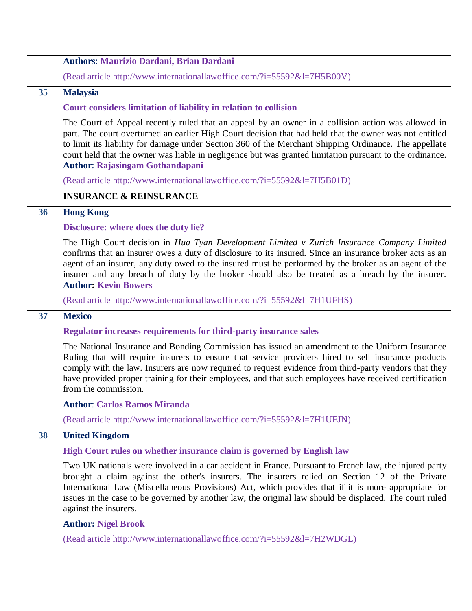|    | <b>INSURANCE &amp; REINSURANCE</b>                                                                                                                                                                                                                                                                                                                                                                                                                 |
|----|----------------------------------------------------------------------------------------------------------------------------------------------------------------------------------------------------------------------------------------------------------------------------------------------------------------------------------------------------------------------------------------------------------------------------------------------------|
| 36 | <b>Hong Kong</b>                                                                                                                                                                                                                                                                                                                                                                                                                                   |
|    | Disclosure: where does the duty lie?                                                                                                                                                                                                                                                                                                                                                                                                               |
|    | The High Court decision in Hua Tyan Development Limited v Zurich Insurance Company Limited<br>confirms that an insurer owes a duty of disclosure to its insured. Since an insurance broker acts as an<br>agent of an insurer, any duty owed to the insured must be performed by the broker as an agent of the<br>insurer and any breach of duty by the broker should also be treated as a breach by the insurer.<br><b>Author: Kevin Bowers</b>    |
|    | (Read article http://www.internationallawoffice.com/?i=55592&l=7H1UFHS)                                                                                                                                                                                                                                                                                                                                                                            |
| 37 | <b>Mexico</b>                                                                                                                                                                                                                                                                                                                                                                                                                                      |
|    | <b>Regulator increases requirements for third-party insurance sales</b>                                                                                                                                                                                                                                                                                                                                                                            |
|    | The National Insurance and Bonding Commission has issued an amendment to the Uniform Insurance<br>Ruling that will require insurers to ensure that service providers hired to sell insurance products<br>comply with the law. Insurers are now required to request evidence from third-party vendors that they<br>have provided proper training for their employees, and that such employees have received certification<br>from the commission.   |
|    | <b>Author: Carlos Ramos Miranda</b>                                                                                                                                                                                                                                                                                                                                                                                                                |
|    | (Read article http://www.internationallawoffice.com/?i=55592&l=7H1UFJN)                                                                                                                                                                                                                                                                                                                                                                            |
| 38 | <b>United Kingdom</b>                                                                                                                                                                                                                                                                                                                                                                                                                              |
|    | High Court rules on whether insurance claim is governed by English law                                                                                                                                                                                                                                                                                                                                                                             |
|    | Two UK nationals were involved in a car accident in France. Pursuant to French law, the injured party<br>brought a claim against the other's insurers. The insurers relied on Section 12 of the Private<br>International Law (Miscellaneous Provisions) Act, which provides that if it is more appropriate for<br>issues in the case to be governed by another law, the original law should be displaced. The court ruled<br>against the insurers. |
|    | <b>Author: Nigel Brook</b>                                                                                                                                                                                                                                                                                                                                                                                                                         |
|    | (Read article http://www.internationallawoffice.com/?i=55592&l=7H2WDGL)                                                                                                                                                                                                                                                                                                                                                                            |